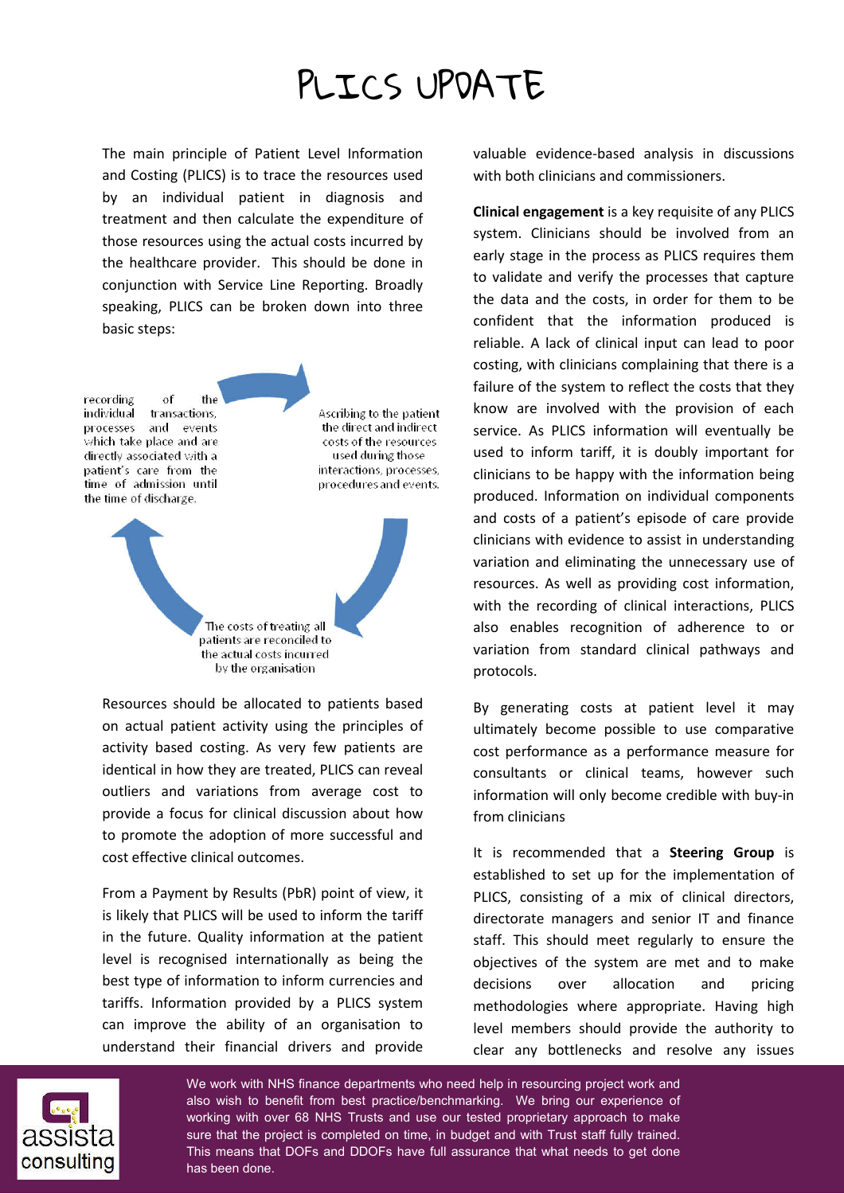## PLICS UPDATE

The main principle of Patient Level Information and Costing (PLICS) is to trace the resources used by an individual patient in diagnosis and treatment and then calculate the expenditure of those resources using the actual costs incurred by the healthcare provider. This should be done in conjunction with Service Line Reporting. Broadly speaking, PLICS can be broken down into three basic steps:

recording of the individual transactions. Ascribing to the patient and events the direct and indirect processes which take place and are costs of the resources directly associated with a used during those patient's care from the interactions, processes, time of admission until procedures and events. the time of discharge. The costs of treating all patients are reconciled to the actual costs incurred by the organisation

Resources should be allocated to patients based on actual patient activity using the principles of activity based costing. As very few patients are identical in how they are treated, PLICS can reveal outliers and variations from average cost to provide a focus for clinical discussion about how to promote the adoption of more successful and cost effective clinical outcomes.

From a Payment by Results (PbR) point of view, it is likely that PLICS will be used to inform the tariff in the future. Quality information at the patient level is recognised internationally as being the best type of information to inform currencies and tariffs. Information provided by a PLICS system can improve the ability of an organisation to understand their financial drivers and provide

valuable evidence-based analysis in discussions with both clinicians and commissioners.

**Clinical engagement** is a key requisite of any PLICS system. Clinicians should be involved from an early stage in the process as PLICS requires them to validate and verify the processes that capture the data and the costs, in order for them to be confident that the information produced is reliable. A lack of clinical input can lead to poor costing, with clinicians complaining that there is a failure of the system to reflect the costs that they know are involved with the provision of each service. As PLICS information will eventually be used to inform tariff, it is doubly important for clinicians to be happy with the information being produced. Information on individual components and costs of a patient's episode of care provide clinicians with evidence to assist in understanding variation and eliminating the unnecessary use of resources. As well as providing cost information, with the recording of clinical interactions, PLICS also enables recognition of adherence to or variation from standard clinical pathways and protocols.

By generating costs at patient level it may ultimately become possible to use comparative cost performance as a performance measure for consultants or clinical teams, however such information will only become credible with buy-in from clinicians

It is recommended that a **Steering Group** is established to set up for the implementation of PLICS, consisting of a mix of clinical directors, directorate managers and senior IT and finance staff. This should meet regularly to ensure the objectives of the system are met and to make decisions over allocation and pricing methodologies where appropriate. Having high level members should provide the authority to clear any bottlenecks and resolve any issues



We work with NHS finance departments who need help in resourcing project work and also wish to benefit from best practice/benchmarking. We bring our experience of working with over 68 NHS Trusts and use our tested proprietary approach to make sure that the project is completed on time, in budget and with Trust staff fully trained. This means that DOFs and DDOFs have full assurance that what needs to get done has been done.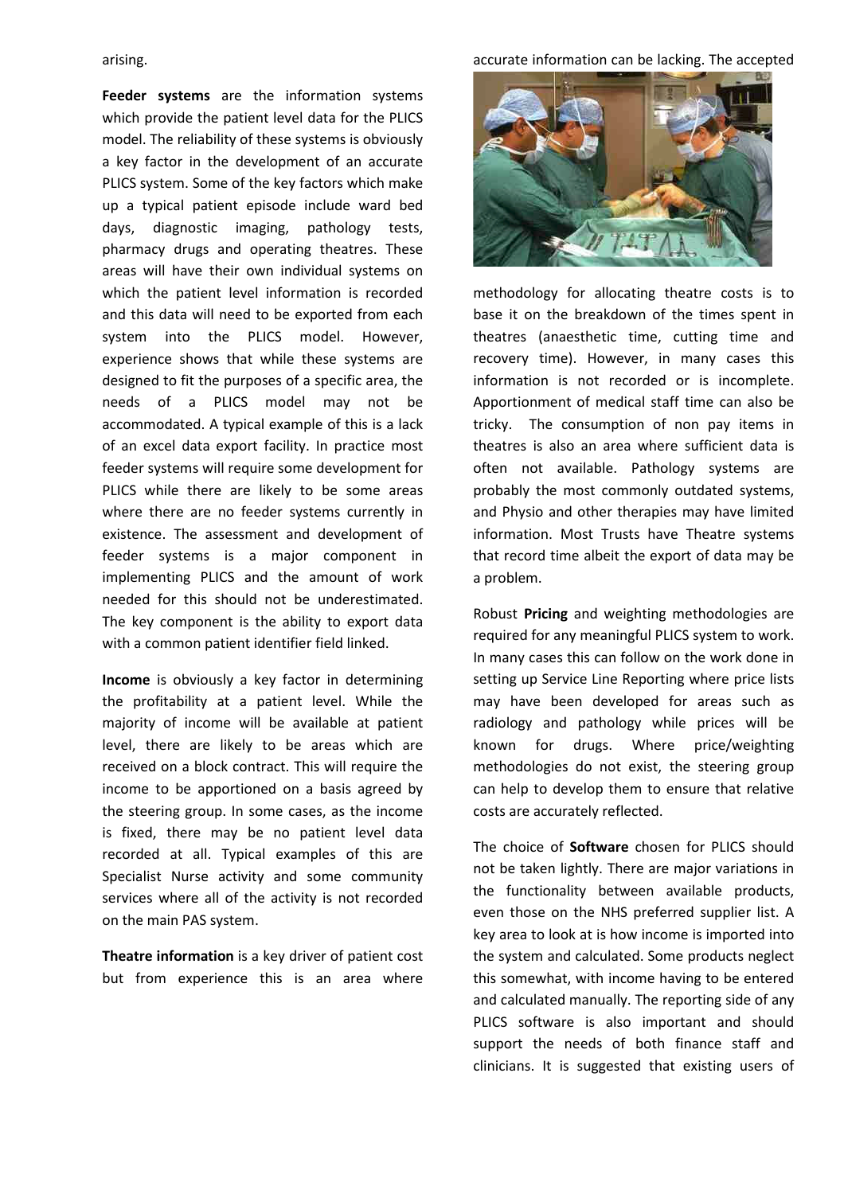arising.

**Feeder systems** are the information systems which provide the patient level data for the PLICS model. The reliability of these systems is obviously a key factor in the development of an accurate PLICS system. Some of the key factors which make up a typical patient episode include ward bed days, diagnostic imaging, pathology tests, pharmacy drugs and operating theatres. These areas will have their own individual systems on which the patient level information is recorded and this data will need to be exported from each system into the PLICS model. However, experience shows that while these systems are designed to fit the purposes of a specific area, the needs of a PLICS model may not be accommodated. A typical example of this is a lack of an excel data export facility. In practice most feeder systems will require some development for PLICS while there are likely to be some areas where there are no feeder systems currently in existence. The assessment and development of feeder systems is a major component in implementing PLICS and the amount of work needed for this should not be underestimated. The key component is the ability to export data with a common patient identifier field linked.

**Income** is obviously a key factor in determining the profitability at a patient level. While the majority of income will be available at patient level, there are likely to be areas which are received on a block contract. This will require the income to be apportioned on a basis agreed by the steering group. In some cases, as the income is fixed, there may be no patient level data recorded at all. Typical examples of this are Specialist Nurse activity and some community services where all of the activity is not recorded on the main PAS system.

**Theatre information** is a key driver of patient cost but from experience this is an area where

accurate information can be lacking. The accepted



methodology for allocating theatre costs is to base it on the breakdown of the times spent in theatres (anaesthetic time, cutting time and recovery time). However, in many cases this information is not recorded or is incomplete. Apportionment of medical staff time can also be tricky. The consumption of non pay items in theatres is also an area where sufficient data is often not available. Pathology systems are probably the most commonly outdated systems, and Physio and other therapies may have limited information. Most Trusts have Theatre systems that record time albeit the export of data may be a problem.

Robust **Pricing** and weighting methodologies are required for any meaningful PLICS system to work. In many cases this can follow on the work done in setting up Service Line Reporting where price lists may have been developed for areas such as radiology and pathology while prices will be known for drugs. Where price/weighting methodologies do not exist, the steering group can help to develop them to ensure that relative costs are accurately reflected.

The choice of **Software** chosen for PLICS should not be taken lightly. There are major variations in the functionality between available products, even those on the NHS preferred supplier list. A key area to look at is how income is imported into the system and calculated. Some products neglect this somewhat, with income having to be entered and calculated manually. The reporting side of any PLICS software is also important and should support the needs of both finance staff and clinicians. It is suggested that existing users of